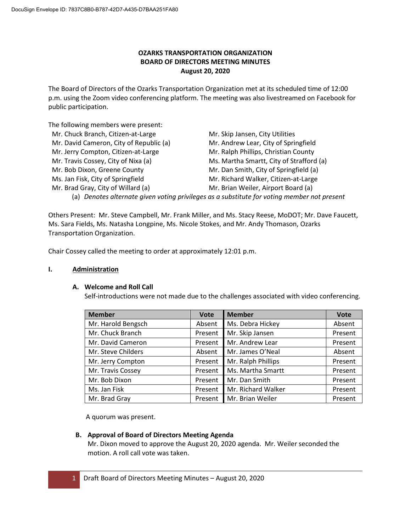# **OZARKS TRANSPORTATION ORGANIZATION BOARD OF DIRECTORS MEETING MINUTES August 20, 2020**

The Board of Directors of the Ozarks Transportation Organization met at its scheduled time of 12:00 p.m. using the Zoom video conferencing platform. The meeting was also livestreamed on Facebook for public participation.

The following members were present:

| Mr. Chuck Branch, Citizen-at-Large      | Mr. Skip Jansen, City Utilities                                                             |
|-----------------------------------------|---------------------------------------------------------------------------------------------|
| Mr. David Cameron, City of Republic (a) | Mr. Andrew Lear, City of Springfield                                                        |
| Mr. Jerry Compton, Citizen-at-Large     | Mr. Ralph Phillips, Christian County                                                        |
| Mr. Travis Cossey, City of Nixa (a)     | Ms. Martha Smartt, City of Strafford (a)                                                    |
| Mr. Bob Dixon, Greene County            | Mr. Dan Smith, City of Springfield (a)                                                      |
| Ms. Jan Fisk, City of Springfield       | Mr. Richard Walker, Citizen-at-Large                                                        |
| Mr. Brad Gray, City of Willard (a)      | Mr. Brian Weiler, Airport Board (a)                                                         |
|                                         | (a) Denotes alternate given voting privileges as a substitute for voting member not present |

Others Present: Mr. Steve Campbell, Mr. Frank Miller, and Ms. Stacy Reese, MoDOT; Mr. Dave Faucett, Ms. Sara Fields, Ms. Natasha Longpine, Ms. Nicole Stokes, and Mr. Andy Thomason, Ozarks Transportation Organization.

Chair Cossey called the meeting to order at approximately 12:01 p.m.

## **I. Administration**

# **A. Welcome and Roll Call**

Self-introductions were not made due to the challenges associated with video conferencing.

| <b>Member</b>      | Vote    | <b>Member</b>      | <b>Vote</b> |
|--------------------|---------|--------------------|-------------|
| Mr. Harold Bengsch | Absent  | Ms. Debra Hickey   | Absent      |
| Mr. Chuck Branch   | Present | Mr. Skip Jansen    | Present     |
| Mr. David Cameron  | Present | Mr. Andrew Lear    | Present     |
| Mr. Steve Childers | Absent  | Mr. James O'Neal   | Absent      |
| Mr. Jerry Compton  | Present | Mr. Ralph Phillips | Present     |
| Mr. Travis Cossey  | Present | Ms. Martha Smartt  | Present     |
| Mr. Bob Dixon      | Present | Mr. Dan Smith      | Present     |
| Ms. Jan Fisk       | Present | Mr. Richard Walker | Present     |
| Mr. Brad Gray      | Present | Mr. Brian Weiler   | Present     |

A quorum was present.

## **B. Approval of Board of Directors Meeting Agenda**

Mr. Dixon moved to approve the August 20, 2020 agenda. Mr. Weiler seconded the motion. A roll call vote was taken.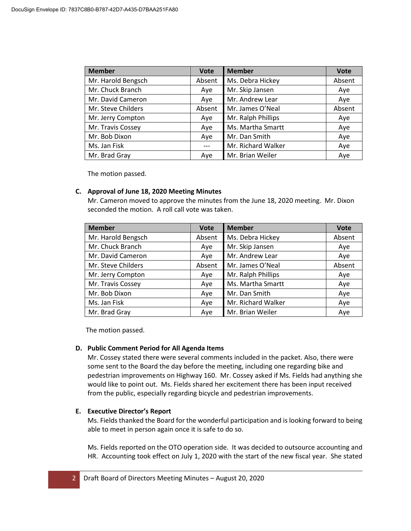| <b>Member</b>      | <b>Vote</b> | <b>Member</b>      | <b>Vote</b> |
|--------------------|-------------|--------------------|-------------|
| Mr. Harold Bengsch | Absent      | Ms. Debra Hickey   | Absent      |
| Mr. Chuck Branch   | Aye         | Mr. Skip Jansen    | Aye         |
| Mr. David Cameron  | Aye         | Mr. Andrew Lear    | Aye         |
| Mr. Steve Childers | Absent      | Mr. James O'Neal   | Absent      |
| Mr. Jerry Compton  | Aye         | Mr. Ralph Phillips | Aye         |
| Mr. Travis Cossey  | Aye         | Ms. Martha Smartt  | Aye         |
| Mr. Bob Dixon      | Aye         | Mr. Dan Smith      | Aye         |
| Ms. Jan Fisk       |             | Mr. Richard Walker | Aye         |
| Mr. Brad Gray      | Aye         | Mr. Brian Weiler   | Aye         |

## **C. Approval of June 18, 2020 Meeting Minutes**

Mr. Cameron moved to approve the minutes from the June 18, 2020 meeting. Mr. Dixon seconded the motion. A roll call vote was taken.

| <b>Member</b>      | <b>Vote</b> | <b>Member</b>      | <b>Vote</b> |
|--------------------|-------------|--------------------|-------------|
| Mr. Harold Bengsch | Absent      | Ms. Debra Hickey   | Absent      |
| Mr. Chuck Branch   | Aye         | Mr. Skip Jansen    | Aye         |
| Mr. David Cameron  | Aye         | Mr. Andrew Lear    | Aye         |
| Mr. Steve Childers | Absent      | Mr. James O'Neal   | Absent      |
| Mr. Jerry Compton  | Aye         | Mr. Ralph Phillips | Aye         |
| Mr. Travis Cossey  | Aye         | Ms. Martha Smartt  | Aye         |
| Mr. Bob Dixon      | Ave         | Mr. Dan Smith      | Aye         |
| Ms. Jan Fisk       | Aye         | Mr. Richard Walker | Aye         |
| Mr. Brad Gray      | Aye         | Mr. Brian Weiler   | Aye         |

The motion passed.

#### **D. Public Comment Period for All Agenda Items**

Mr. Cossey stated there were several comments included in the packet. Also, there were some sent to the Board the day before the meeting, including one regarding bike and pedestrian improvements on Highway 160. Mr. Cossey asked if Ms. Fields had anything she would like to point out. Ms. Fields shared her excitement there has been input received from the public, especially regarding bicycle and pedestrian improvements.

## **E. Executive Director's Report**

Ms. Fields thanked the Board for the wonderful participation and is looking forward to being able to meet in person again once it is safe to do so.

Ms. Fields reported on the OTO operation side. It was decided to outsource accounting and HR. Accounting took effect on July 1, 2020 with the start of the new fiscal year. She stated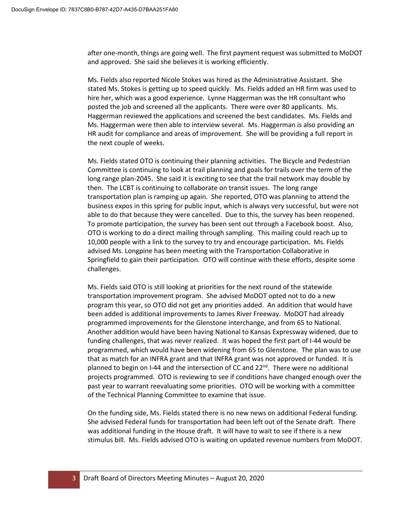after one-month, things are going well. The first payment request was submitted to MoDOT and approved. She said she believes it is working efficiently.

Ms. Fields also reported Nicole Stokes was hired as the Administrative Assistant. She stated Ms. Stokes is getting up to speed quickly. Ms. Fields added an HR firm was used to hire her, which was a good experience. Lynne Haggerman was the HR consultant who posted the job and screened all the applicants. There were over 80 applicants. Ms. Haggerman reviewed the applications and screened the best candidates. Ms. Fields and Ms. Haggerman were then able to interview several. Ms. Haggerman is also providing an HR audit for compliance and areas of improvement. She will be providing a full report in the next couple of weeks.

Ms. Fields stated OTO is continuing their planning activities. The Bicycle and Pedestrian Committee is continuing to look at trail planning and goals for trails over the term of the long range plan-2045. She said it is exciting to see that the trail network may double by then. The LCBT is continuing to collaborate on transit issues. The long range transportation plan is ramping up again. She reported, OTO was planning to attend the business expos in this spring for public input, which is always very successful, but were not able to do that because they were cancelled. Due to this, the survey has been reopened. To promote participation, the survey has been sent out through a Facebook boost. Also, OTO is working to do a direct mailing through sampling. This mailing could reach up to 10,000 people with a link to the survey to try and encourage participation. Ms. Fields advised Ms. Longpine has been meeting with the Transportation Collaborative in Springfield to gain their participation. OTO will continue with these efforts, despite some challenges.

Ms. Fields said OTO is still looking at priorities for the next round of the statewide transportation improvement program. She advised MoDOT opted not to do a new program this year, so OTO did not get any priorities added. An addition that would have been added is additional improvements to James River Freeway. MoDOT had already programmed improvements for the Glenstone interchange, and from 65 to National. Another addition would have been having National to Kansas Expressway widened, due to funding challenges, that was never realized. It was hoped the first part of I-44 would be programmed, which would have been widening from 65 to Glenstone. The plan was to use that as match for an INFRA grant and that INFRA grant was not approved or funded. It is planned to begin on I-44 and the intersection of CC and  $22^{nd}$ . There were no additional projects programmed. OTO is reviewing to see if conditions have changed enough over the past year to warrant reevaluating some priorities. OTO will be working with a committee of the Technical Planning Committee to examine that issue.

On the funding side, Ms. Fields stated there is no new news on additional Federal funding. She advised Federal funds for transportation had been left out of the Senate draft. There was additional funding in the House draft. It will have to wait to see if there is a new stimulus bill. Ms. Fields advised OTO is waiting on updated revenue numbers from MoDOT.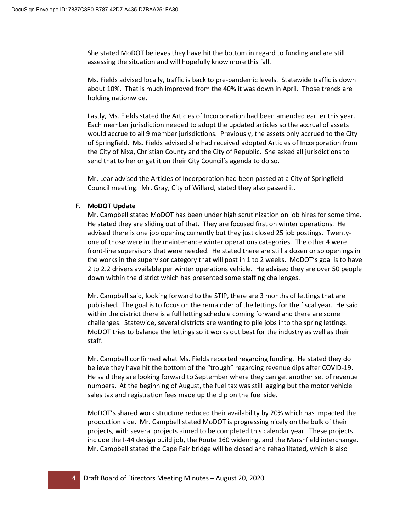She stated MoDOT believes they have hit the bottom in regard to funding and are still assessing the situation and will hopefully know more this fall.

Ms. Fields advised locally, traffic is back to pre-pandemic levels. Statewide traffic is down about 10%. That is much improved from the 40% it was down in April. Those trends are holding nationwide.

Lastly, Ms. Fields stated the Articles of Incorporation had been amended earlier this year. Each member jurisdiction needed to adopt the updated articles so the accrual of assets would accrue to all 9 member jurisdictions. Previously, the assets only accrued to the City of Springfield. Ms. Fields advised she had received adopted Articles of Incorporation from the City of Nixa, Christian County and the City of Republic. She asked all jurisdictions to send that to her or get it on their City Council's agenda to do so.

Mr. Lear advised the Articles of Incorporation had been passed at a City of Springfield Council meeting. Mr. Gray, City of Willard, stated they also passed it.

#### **F. MoDOT Update**

Mr. Campbell stated MoDOT has been under high scrutinization on job hires for some time. He stated they are sliding out of that. They are focused first on winter operations. He advised there is one job opening currently but they just closed 25 job postings. Twentyone of those were in the maintenance winter operations categories. The other 4 were front-line supervisors that were needed. He stated there are still a dozen or so openings in the works in the supervisor category that will post in 1 to 2 weeks. MoDOT's goal is to have 2 to 2.2 drivers available per winter operations vehicle. He advised they are over 50 people down within the district which has presented some staffing challenges.

Mr. Campbell said, looking forward to the STIP, there are 3 months of lettings that are published. The goal is to focus on the remainder of the lettings for the fiscal year. He said within the district there is a full letting schedule coming forward and there are some challenges. Statewide, several districts are wanting to pile jobs into the spring lettings. MoDOT tries to balance the lettings so it works out best for the industry as well as their staff.

Mr. Campbell confirmed what Ms. Fields reported regarding funding. He stated they do believe they have hit the bottom of the "trough" regarding revenue dips after COVID-19. He said they are looking forward to September where they can get another set of revenue numbers. At the beginning of August, the fuel tax was still lagging but the motor vehicle sales tax and registration fees made up the dip on the fuel side.

MoDOT's shared work structure reduced their availability by 20% which has impacted the production side. Mr. Campbell stated MoDOT is progressing nicely on the bulk of their projects, with several projects aimed to be completed this calendar year. These projects include the I-44 design build job, the Route 160 widening, and the Marshfield interchange. Mr. Campbell stated the Cape Fair bridge will be closed and rehabilitated, which is also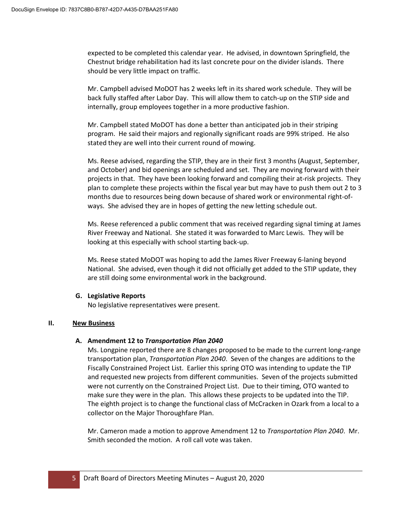expected to be completed this calendar year. He advised, in downtown Springfield, the Chestnut bridge rehabilitation had its last concrete pour on the divider islands. There should be very little impact on traffic.

Mr. Campbell advised MoDOT has 2 weeks left in its shared work schedule. They will be back fully staffed after Labor Day. This will allow them to catch-up on the STIP side and internally, group employees together in a more productive fashion.

Mr. Campbell stated MoDOT has done a better than anticipated job in their striping program. He said their majors and regionally significant roads are 99% striped. He also stated they are well into their current round of mowing.

Ms. Reese advised, regarding the STIP, they are in their first 3 months (August, September, and October) and bid openings are scheduled and set. They are moving forward with their projects in that. They have been looking forward and compiling their at-risk projects. They plan to complete these projects within the fiscal year but may have to push them out 2 to 3 months due to resources being down because of shared work or environmental right-ofways. She advised they are in hopes of getting the new letting schedule out.

Ms. Reese referenced a public comment that was received regarding signal timing at James River Freeway and National. She stated it was forwarded to Marc Lewis. They will be looking at this especially with school starting back-up.

Ms. Reese stated MoDOT was hoping to add the James River Freeway 6-laning beyond National. She advised, even though it did not officially get added to the STIP update, they are still doing some environmental work in the background.

# **G. Legislative Reports**

No legislative representatives were present.

# **II. New Business**

## **A. Amendment 12 to** *Transportation Plan 2040*

Ms. Longpine reported there are 8 changes proposed to be made to the current long-range transportation plan, *Transportation Plan 2040*. Seven of the changes are additions to the Fiscally Constrained Project List. Earlier this spring OTO was intending to update the TIP and requested new projects from different communities. Seven of the projects submitted were not currently on the Constrained Project List. Due to their timing, OTO wanted to make sure they were in the plan. This allows these projects to be updated into the TIP. The eighth project is to change the functional class of McCracken in Ozark from a local to a collector on the Major Thoroughfare Plan.

Mr. Cameron made a motion to approve Amendment 12 to *Transportation Plan 2040*. Mr. Smith seconded the motion. A roll call vote was taken.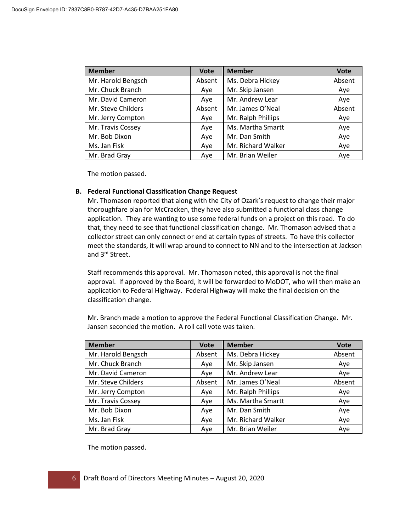| <b>Member</b>      | <b>Vote</b> | <b>Member</b>      | <b>Vote</b> |
|--------------------|-------------|--------------------|-------------|
| Mr. Harold Bengsch | Absent      | Ms. Debra Hickey   | Absent      |
| Mr. Chuck Branch   | Aye         | Mr. Skip Jansen    | Aye         |
| Mr. David Cameron  | Aye         | Mr. Andrew Lear    | Aye         |
| Mr. Steve Childers | Absent      | Mr. James O'Neal   | Absent      |
| Mr. Jerry Compton  | Aye         | Mr. Ralph Phillips | Aye         |
| Mr. Travis Cossey  | Aye         | Ms. Martha Smartt  | Aye         |
| Mr. Bob Dixon      | Aye         | Mr. Dan Smith      | Aye         |
| Ms. Jan Fisk       | Aye         | Mr. Richard Walker | Aye         |
| Mr. Brad Gray      | Aye         | Mr. Brian Weiler   | Aye         |

### **B. Federal Functional Classification Change Request**

Mr. Thomason reported that along with the City of Ozark's request to change their major thoroughfare plan for McCracken, they have also submitted a functional class change application. They are wanting to use some federal funds on a project on this road. To do that, they need to see that functional classification change. Mr. Thomason advised that a collector street can only connect or end at certain types of streets. To have this collector meet the standards, it will wrap around to connect to NN and to the intersection at Jackson and 3rd Street.

Staff recommends this approval. Mr. Thomason noted, this approval is not the final approval. If approved by the Board, it will be forwarded to MoDOT, who will then make an application to Federal Highway. Federal Highway will make the final decision on the classification change.

Mr. Branch made a motion to approve the Federal Functional Classification Change. Mr. Jansen seconded the motion. A roll call vote was taken.

| <b>Member</b>      | <b>Vote</b> | <b>Member</b>      | <b>Vote</b> |
|--------------------|-------------|--------------------|-------------|
| Mr. Harold Bengsch | Absent      | Ms. Debra Hickey   | Absent      |
| Mr. Chuck Branch   | Aye         | Mr. Skip Jansen    | Aye         |
| Mr. David Cameron  | Aye         | Mr. Andrew Lear    | Aye         |
| Mr. Steve Childers | Absent      | Mr. James O'Neal   | Absent      |
| Mr. Jerry Compton  | Aye         | Mr. Ralph Phillips | Aye         |
| Mr. Travis Cossey  | Aye         | Ms. Martha Smartt  | Aye         |
| Mr. Bob Dixon      | Aye         | Mr. Dan Smith      | Aye         |
| Ms. Jan Fisk       | Aye         | Mr. Richard Walker | Aye         |
| Mr. Brad Gray      | Ave         | Mr. Brian Weiler   | Aye         |

The motion passed.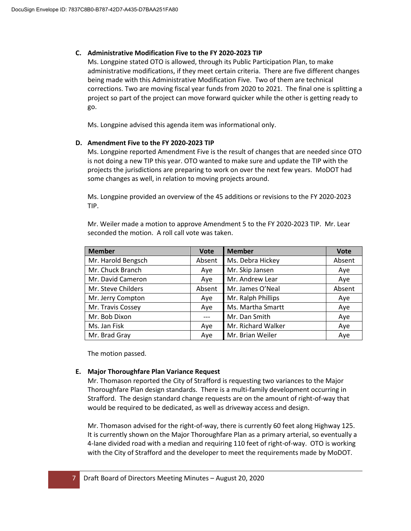## **C. Administrative Modification Five to the FY 2020-2023 TIP**

Ms. Longpine stated OTO is allowed, through its Public Participation Plan, to make administrative modifications, if they meet certain criteria. There are five different changes being made with this Administrative Modification Five. Two of them are technical corrections. Two are moving fiscal year funds from 2020 to 2021. The final one is splitting a project so part of the project can move forward quicker while the other is getting ready to go.

Ms. Longpine advised this agenda item was informational only.

# **D. Amendment Five to the FY 2020-2023 TIP**

Ms. Longpine reported Amendment Five is the result of changes that are needed since OTO is not doing a new TIP this year. OTO wanted to make sure and update the TIP with the projects the jurisdictions are preparing to work on over the next few years. MoDOT had some changes as well, in relation to moving projects around.

Ms. Longpine provided an overview of the 45 additions or revisions to the FY 2020-2023 TIP.

Mr. Weiler made a motion to approve Amendment 5 to the FY 2020-2023 TIP. Mr. Lear seconded the motion. A roll call vote was taken.

| <b>Member</b>      | <b>Vote</b> | <b>Member</b>      | <b>Vote</b> |
|--------------------|-------------|--------------------|-------------|
| Mr. Harold Bengsch | Absent      | Ms. Debra Hickey   | Absent      |
| Mr. Chuck Branch   | Aye         | Mr. Skip Jansen    | Aye         |
| Mr. David Cameron  | Ave         | Mr. Andrew Lear    | Aye         |
| Mr. Steve Childers | Absent      | Mr. James O'Neal   | Absent      |
| Mr. Jerry Compton  | Aye         | Mr. Ralph Phillips | Aye         |
| Mr. Travis Cossey  | Aye         | Ms. Martha Smartt  | Aye         |
| Mr. Bob Dixon      |             | Mr. Dan Smith      | Aye         |
| Ms. Jan Fisk       | Aye         | Mr. Richard Walker | Aye         |
| Mr. Brad Gray      | Aye         | Mr. Brian Weiler   | Aye         |

The motion passed.

# **E. Major Thoroughfare Plan Variance Request**

Mr. Thomason reported the City of Strafford is requesting two variances to the Major Thoroughfare Plan design standards. There is a multi-family development occurring in Strafford. The design standard change requests are on the amount of right-of-way that would be required to be dedicated, as well as driveway access and design.

Mr. Thomason advised for the right-of-way, there is currently 60 feet along Highway 125. It is currently shown on the Major Thoroughfare Plan as a primary arterial, so eventually a 4-lane divided road with a median and requiring 110 feet of right-of-way. OTO is working with the City of Strafford and the developer to meet the requirements made by MoDOT.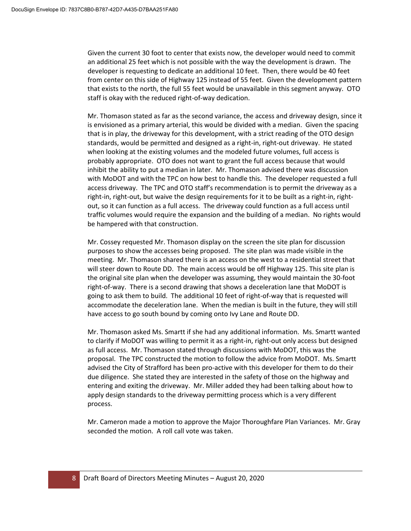Given the current 30 foot to center that exists now, the developer would need to commit an additional 25 feet which is not possible with the way the development is drawn. The developer is requesting to dedicate an additional 10 feet. Then, there would be 40 feet from center on this side of Highway 125 instead of 55 feet. Given the development pattern that exists to the north, the full 55 feet would be unavailable in this segment anyway. OTO staff is okay with the reduced right-of-way dedication.

Mr. Thomason stated as far as the second variance, the access and driveway design, since it is envisioned as a primary arterial, this would be divided with a median. Given the spacing that is in play, the driveway for this development, with a strict reading of the OTO design standards, would be permitted and designed as a right-in, right-out driveway. He stated when looking at the existing volumes and the modeled future volumes, full access is probably appropriate. OTO does not want to grant the full access because that would inhibit the ability to put a median in later. Mr. Thomason advised there was discussion with MoDOT and with the TPC on how best to handle this. The developer requested a full access driveway. The TPC and OTO staff's recommendation is to permit the driveway as a right-in, right-out, but waive the design requirements for it to be built as a right-in, rightout, so it can function as a full access. The driveway could function as a full access until traffic volumes would require the expansion and the building of a median. No rights would be hampered with that construction.

Mr. Cossey requested Mr. Thomason display on the screen the site plan for discussion purposes to show the accesses being proposed. The site plan was made visible in the meeting. Mr. Thomason shared there is an access on the west to a residential street that will steer down to Route DD. The main access would be off Highway 125. This site plan is the original site plan when the developer was assuming, they would maintain the 30-foot right-of-way. There is a second drawing that shows a deceleration lane that MoDOT is going to ask them to build. The additional 10 feet of right-of-way that is requested will accommodate the deceleration lane. When the median is built in the future, they will still have access to go south bound by coming onto Ivy Lane and Route DD.

Mr. Thomason asked Ms. Smartt if she had any additional information. Ms. Smartt wanted to clarify if MoDOT was willing to permit it as a right-in, right-out only access but designed as full access. Mr. Thomason stated through discussions with MoDOT, this was the proposal. The TPC constructed the motion to follow the advice from MoDOT. Ms. Smartt advised the City of Strafford has been pro-active with this developer for them to do their due diligence. She stated they are interested in the safety of those on the highway and entering and exiting the driveway. Mr. Miller added they had been talking about how to apply design standards to the driveway permitting process which is a very different process.

Mr. Cameron made a motion to approve the Major Thoroughfare Plan Variances. Mr. Gray seconded the motion. A roll call vote was taken.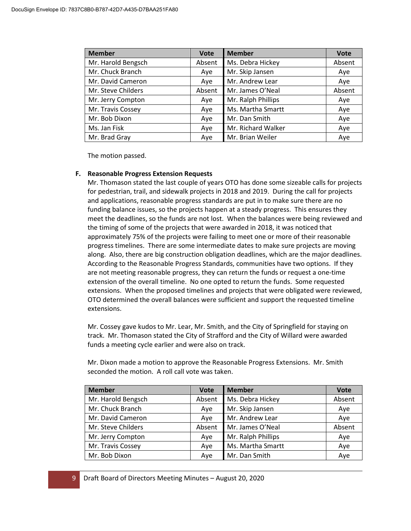| <b>Member</b>      | <b>Vote</b> | <b>Member</b>      | <b>Vote</b> |
|--------------------|-------------|--------------------|-------------|
| Mr. Harold Bengsch | Absent      | Ms. Debra Hickey   | Absent      |
| Mr. Chuck Branch   | Aye         | Mr. Skip Jansen    | Aye         |
| Mr. David Cameron  | Aye         | Mr. Andrew Lear    | Aye         |
| Mr. Steve Childers | Absent      | Mr. James O'Neal   | Absent      |
| Mr. Jerry Compton  | Aye         | Mr. Ralph Phillips | Aye         |
| Mr. Travis Cossey  | Aye         | Ms. Martha Smartt  | Aye         |
| Mr. Bob Dixon      | Aye         | Mr. Dan Smith      | Aye         |
| Ms. Jan Fisk       | Aye         | Mr. Richard Walker | Aye         |
| Mr. Brad Gray      | Ave         | Mr. Brian Weiler   | Aye         |

### **F. Reasonable Progress Extension Requests**

Mr. Thomason stated the last couple of years OTO has done some sizeable calls for projects for pedestrian, trail, and sidewalk projects in 2018 and 2019. During the call for projects and applications, reasonable progress standards are put in to make sure there are no funding balance issues, so the projects happen at a steady progress. This ensures they meet the deadlines, so the funds are not lost. When the balances were being reviewed and the timing of some of the projects that were awarded in 2018, it was noticed that approximately 75% of the projects were failing to meet one or more of their reasonable progress timelines. There are some intermediate dates to make sure projects are moving along. Also, there are big construction obligation deadlines, which are the major deadlines. According to the Reasonable Progress Standards, communities have two options. If they are not meeting reasonable progress, they can return the funds or request a one-time extension of the overall timeline. No one opted to return the funds. Some requested extensions. When the proposed timelines and projects that were obligated were reviewed, OTO determined the overall balances were sufficient and support the requested timeline extensions.

Mr. Cossey gave kudos to Mr. Lear, Mr. Smith, and the City of Springfield for staying on track. Mr. Thomason stated the City of Strafford and the City of Willard were awarded funds a meeting cycle earlier and were also on track.

Mr. Dixon made a motion to approve the Reasonable Progress Extensions. Mr. Smith seconded the motion. A roll call vote was taken.

| <b>Member</b>      | <b>Vote</b> | <b>Member</b>      | <b>Vote</b> |
|--------------------|-------------|--------------------|-------------|
| Mr. Harold Bengsch | Absent      | Ms. Debra Hickey   | Absent      |
| Mr. Chuck Branch   | Aye         | Mr. Skip Jansen    | Aye         |
| Mr. David Cameron  | Aye         | Mr. Andrew Lear    | Aye         |
| Mr. Steve Childers | Absent      | Mr. James O'Neal   | Absent      |
| Mr. Jerry Compton  | Aye         | Mr. Ralph Phillips | Aye         |
| Mr. Travis Cossey  | Aye         | Ms. Martha Smartt  | Aye         |
| Mr. Bob Dixon      | Aye         | Mr. Dan Smith      | Aye         |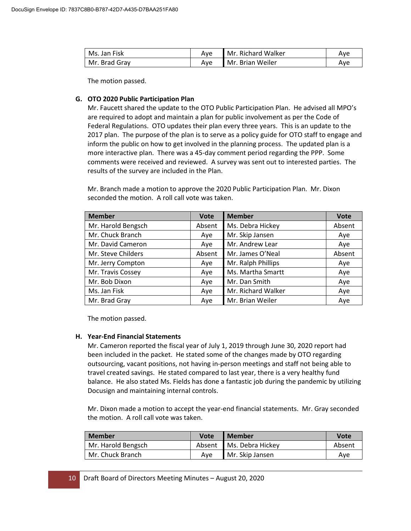| Ms. Jan Fisk  | Ave | Mr. Richard Walker | Ave |
|---------------|-----|--------------------|-----|
| Mr. Brad Grav | Ave | Mr. Brian Weiler   | Ave |

### **G. OTO 2020 Public Participation Plan**

Mr. Faucett shared the update to the OTO Public Participation Plan. He advised all MPO's are required to adopt and maintain a plan for public involvement as per the Code of Federal Regulations. OTO updates their plan every three years. This is an update to the 2017 plan. The purpose of the plan is to serve as a policy guide for OTO staff to engage and inform the public on how to get involved in the planning process. The updated plan is a more interactive plan. There was a 45-day comment period regarding the PPP. Some comments were received and reviewed. A survey was sent out to interested parties. The results of the survey are included in the Plan.

Mr. Branch made a motion to approve the 2020 Public Participation Plan. Mr. Dixon seconded the motion. A roll call vote was taken.

| <b>Member</b>      | <b>Vote</b> | <b>Member</b>      | <b>Vote</b> |
|--------------------|-------------|--------------------|-------------|
| Mr. Harold Bengsch | Absent      | Ms. Debra Hickey   | Absent      |
| Mr. Chuck Branch   | Aye         | Mr. Skip Jansen    | Aye         |
| Mr. David Cameron  | Ave         | Mr. Andrew Lear    | Aye         |
| Mr. Steve Childers | Absent      | Mr. James O'Neal   | Absent      |
| Mr. Jerry Compton  | Aye         | Mr. Ralph Phillips | Aye         |
| Mr. Travis Cossey  | Aye         | Ms. Martha Smartt  | Aye         |
| Mr. Bob Dixon      | Aye         | Mr. Dan Smith      | Aye         |
| Ms. Jan Fisk       | Aye         | Mr. Richard Walker | Aye         |
| Mr. Brad Gray      | Aye         | Mr. Brian Weiler   | Aye         |

The motion passed.

## **H. Year-End Financial Statements**

Mr. Cameron reported the fiscal year of July 1, 2019 through June 30, 2020 report had been included in the packet. He stated some of the changes made by OTO regarding outsourcing, vacant positions, not having in-person meetings and staff not being able to travel created savings. He stated compared to last year, there is a very healthy fund balance. He also stated Ms. Fields has done a fantastic job during the pandemic by utilizing Docusign and maintaining internal controls.

Mr. Dixon made a motion to accept the year-end financial statements. Mr. Gray seconded the motion. A roll call vote was taken.

| <b>Member</b>      | <b>Vote</b> | <b>Member</b>           | Vote   |
|--------------------|-------------|-------------------------|--------|
| Mr. Harold Bengsch |             | Absent Ms. Debra Hickey | Absent |
| Mr. Chuck Branch   | Ave         | Mr. Skip Jansen         | Ave    |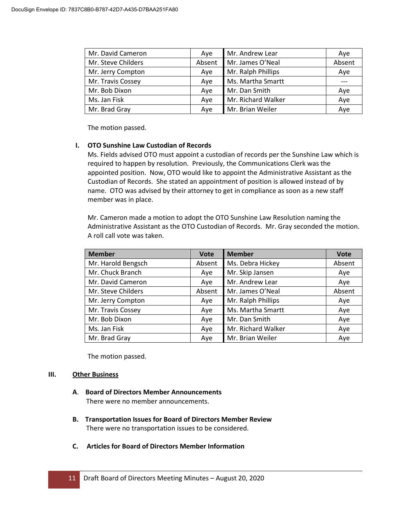| Mr. David Cameron  | Ave    | Mr. Andrew Lear    | Aye    |
|--------------------|--------|--------------------|--------|
| Mr. Steve Childers | Absent | Mr. James O'Neal   | Absent |
| Mr. Jerry Compton  | Aye    | Mr. Ralph Phillips | Aye    |
| Mr. Travis Cossey  | Aye    | Ms. Martha Smartt  |        |
| Mr. Bob Dixon      | Aye    | Mr. Dan Smith      | Aye    |
| Ms. Jan Fisk       | Aye    | Mr. Richard Walker | Aye    |
| Mr. Brad Gray      | Aye    | Mr. Brian Weiler   | Aye    |

### **I. OTO Sunshine Law Custodian of Records**

Ms. Fields advised OTO must appoint a custodian of records per the Sunshine Law which is required to happen by resolution. Previously, the Communications Clerk was the appointed position. Now, OTO would like to appoint the Administrative Assistant as the Custodian of Records. She stated an appointment of position is allowed instead of by name. OTO was advised by their attorney to get in compliance as soon as a new staff member was in place.

Mr. Cameron made a motion to adopt the OTO Sunshine Law Resolution naming the Administrative Assistant as the OTO Custodian of Records. Mr. Gray seconded the motion. A roll call vote was taken.

| <b>Member</b>      | <b>Vote</b> | <b>Member</b>      | <b>Vote</b> |
|--------------------|-------------|--------------------|-------------|
| Mr. Harold Bengsch | Absent      | Ms. Debra Hickey   | Absent      |
| Mr. Chuck Branch   | Aye         | Mr. Skip Jansen    | Aye         |
| Mr. David Cameron  | Aye         | Mr. Andrew Lear    | Aye         |
| Mr. Steve Childers | Absent      | Mr. James O'Neal   | Absent      |
| Mr. Jerry Compton  | Aye         | Mr. Ralph Phillips | Aye         |
| Mr. Travis Cossey  | Aye         | Ms. Martha Smartt  | Aye         |
| Mr. Bob Dixon      | Aye         | Mr. Dan Smith      | Aye         |
| Ms. Jan Fisk       | Aye         | Mr. Richard Walker | Aye         |
| Mr. Brad Gray      | Aye         | Mr. Brian Weiler   | Aye         |

The motion passed.

#### **III. Other Business**

- **A**. **Board of Directors Member Announcements** There were no member announcements.
- **B. Transportation Issues for Board of Directors Member Review** There were no transportation issues to be considered.
- **C. Articles for Board of Directors Member Information**